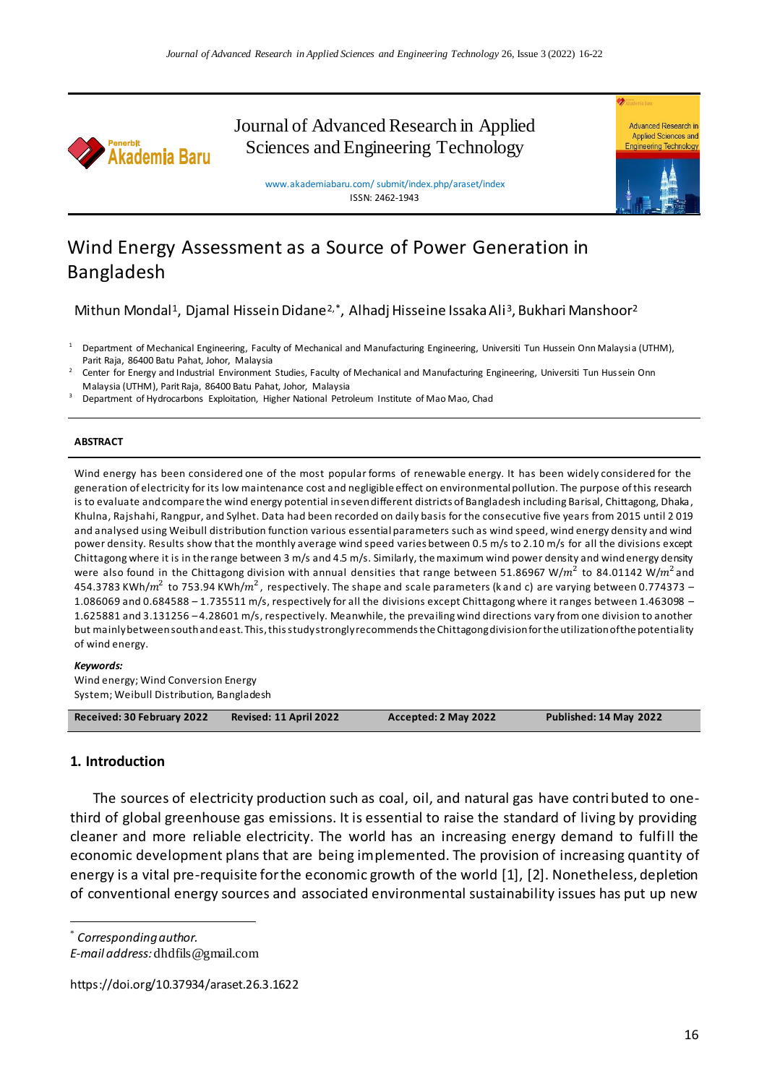

Journal of Advanced Research in Applied Sciences and Engineering Technology



www.akademiabaru.com/ submit/index.php/araset/index ISSN: 2462-1943

# Wind Energy Assessment as a Source of Power Generation in Bangladesh

Mithun Mondal<sup>1</sup>, Djamal Hissein Didane<sup>2,\*</sup>, Alhadj Hisseine Issaka Ali<sup>3</sup>, Bukhari Manshoor<sup>2</sup>

<sup>1</sup> Department of Mechanical Engineering, Faculty of Mechanical and Manufacturing Engineering, Universiti Tun Hussein Onn Malaysia (UTHM), Parit Raja, 86400 Batu Pahat, Johor, Malaysia

2 Center for Energy and Industrial Environment Studies, Faculty of Mechanical and Manufacturing Engineering, Universiti Tun Hussein Onn Malaysia (UTHM), Parit Raja, 86400 Batu Pahat, Johor, Malaysia

<sup>3</sup> Department of Hydrocarbons Exploitation, Higher National Petroleum Institute of Mao Mao, Chad

#### **ABSTRACT**

Wind energy has been considered one of the most popular forms of renewable energy. It has been widely considered for the generation of electricity for its low maintenance cost and negligible effect on environmental pollution. The purpose of this research is to evaluate and compare the wind energy potential in seven different districts of Bangladesh including Barisal, Chittagong, Dhaka, Khulna, Rajshahi, Rangpur, and Sylhet. Data had been recorded on daily basis for the consecutive five years from 2015 until 2 019 and analysed using Weibull distribution function various essential parameters such as wind speed, wind energy density and wind power density. Results show that the monthly average wind speed varies between 0.5 m/s to 2.10 m/s for all the divisions except Chittagong where it is in the range between 3 m/s and 4.5 m/s. Similarly, the maximum wind power density and wind energy density were also found in the Chittagong division with annual densities that range between 51.86967 W/ $m^2$  to 84.01142 W/ $m^2$ and 454.3783 KWh/ $m^2$  to 753.94 KWh/ $m^2$  , respectively. The shape and scale parameters (k and c) are varying between 0.774373 – 1.086069 and 0.684588 – 1.735511 m/s, respectively for all the divisions except Chittagong where it ranges between 1.463098 – 1.625881 and 3.131256 – 4.28601 m/s, respectively. Meanwhile, the prevailing wind directions vary from one division to another but mainly between south and east. This, this study strongly recommends the Chittagong division for the utilization of the potentiality of wind energy.

#### *Keywords:*

Wind energy; Wind Conversion Energy System; Weibull Distribution, Bangladesh

| Received: 30 February 2022 | Revised: 11 April 2022 | Accepted: 2 May 2022 | Published: 14 May 2022 |
|----------------------------|------------------------|----------------------|------------------------|

#### **1. Introduction**

The sources of electricity production such as coal, oil, and natural gas have contributed to onethird of global greenhouse gas emissions. It is essential to raise the standard of living by providing cleaner and more reliable electricity. The world has an increasing energy demand to fulfill the economic development plans that are being implemented. The provision of increasing quantity of energy is a vital pre-requisite for the economic growth of the world [1], [2]. Nonetheless, depletion of conventional energy sources and associated environmental sustainability issues has put up new

 $\overline{a}$ 

https://doi.org/10.37934/araset.26.3.1622

<sup>\*</sup> *Corresponding author.*

*E-mail address:* dhdfils@gmail.com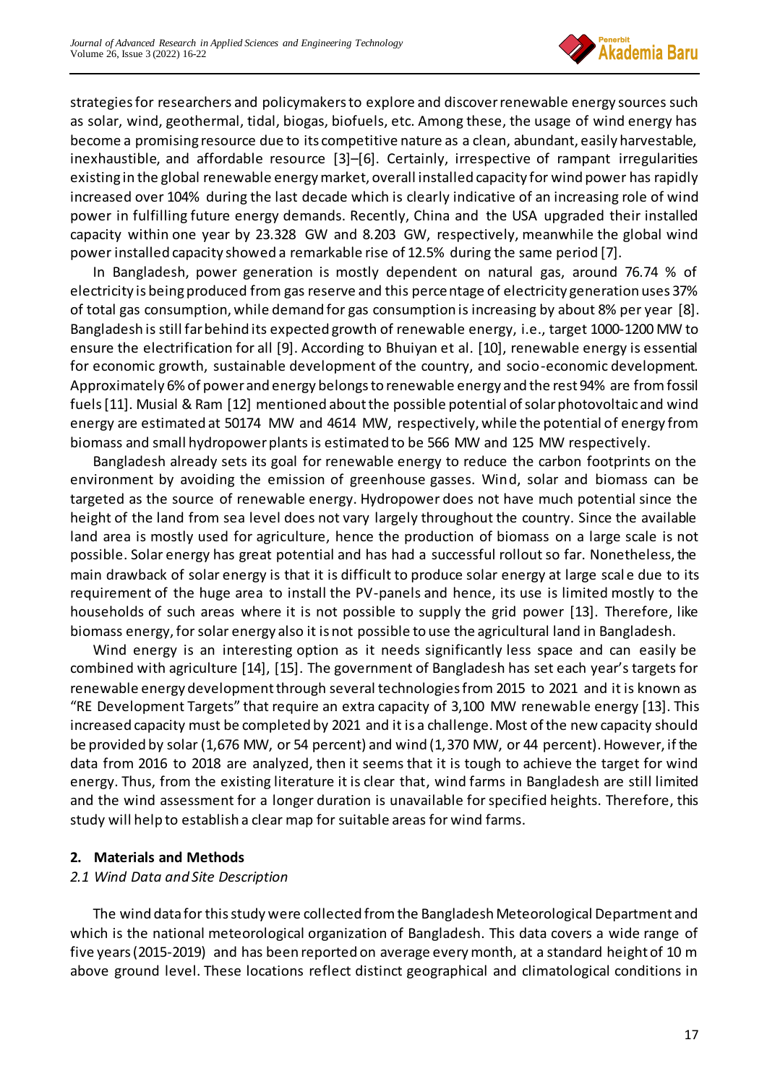

strategies for researchers and policymakers to explore and discover renewable energy sources such as solar, wind, geothermal, tidal, biogas, biofuels, etc. Among these, the usage of wind energy has become a promising resource due to its competitive nature as a clean, abundant, easily harvestable, inexhaustible, and affordable resource [3]–[6]. Certainly, irrespective of rampant irregularities existing in the global renewable energy market, overall installed capacity for wind power has rapidly increased over 104% during the last decade which is clearly indicative of an increasing role of wind power in fulfilling future energy demands. Recently, China and the USA upgraded their installed capacity within one year by 23.328 GW and 8.203 GW, respectively, meanwhile the global wind power installed capacity showed a remarkable rise of 12.5% during the same period [7].

In Bangladesh, power generation is mostly dependent on natural gas, around 76.74 % of electricity is being produced from gas reserve and this percentage of electricity generation uses 37% of total gas consumption, while demand for gas consumption is increasing by about 8% per year [8]. Bangladesh is still far behind its expected growth of renewable energy, i.e., target 1000-1200 MW to ensure the electrification for all [9]. According to Bhuiyan et al. [10], renewable energy is essential for economic growth, sustainable development of the country, and socio-economic development. Approximately 6% of power and energy belongs to renewable energy and the rest 94% are fromfossil fuels [11]. Musial & Ram [12] mentioned about the possible potential of solar photovoltaic and wind energy are estimated at 50174 MW and 4614 MW, respectively, while the potential of energy from biomass and small hydropower plants is estimated to be 566 MW and 125 MW respectively.

Bangladesh already sets its goal for renewable energy to reduce the carbon footprints on the environment by avoiding the emission of greenhouse gasses. Wind, solar and biomass can be targeted as the source of renewable energy. Hydropower does not have much potential since the height of the land from sea level does not vary largely throughout the country. Since the available land area is mostly used for agriculture, hence the production of biomass on a large scale is not possible. Solar energy has great potential and has had a successful rollout so far. Nonetheless, the main drawback of solar energy is that it is difficult to produce solar energy at large scal e due to its requirement of the huge area to install the PV-panels and hence, its use is limited mostly to the households of such areas where it is not possible to supply the grid power [13]. Therefore, like biomass energy, for solar energy also it is not possible to use the agricultural land in Bangladesh.

Wind energy is an interesting option as it needs significantly less space and can easily be combined with agriculture [14], [15]. The government of Bangladesh has set each year's targets for renewable energy development through several technologies from 2015 to 2021 and it is known as "RE Development Targets" that require an extra capacity of 3,100 MW renewable energy [13]. This increased capacity must be completed by 2021 and it is a challenge. Most of the new capacity should be provided by solar (1,676 MW, or 54 percent) and wind (1,370 MW, or 44 percent). However, if the data from 2016 to 2018 are analyzed, then it seems that it is tough to achieve the target for wind energy. Thus, from the existing literature it is clear that, wind farms in Bangladesh are still limited and the wind assessment for a longer duration is unavailable for specified heights. Therefore, this study will help to establish a clear map for suitable areas for wind farms.

### **2. Materials and Methods**

### *2.1 Wind Data and Site Description*

The wind data for this study were collected from the Bangladesh Meteorological Department and which is the national meteorological organization of Bangladesh. This data covers a wide range of five years (2015-2019) and has been reported on average every month, at a standard height of 10 m above ground level. These locations reflect distinct geographical and climatological conditions in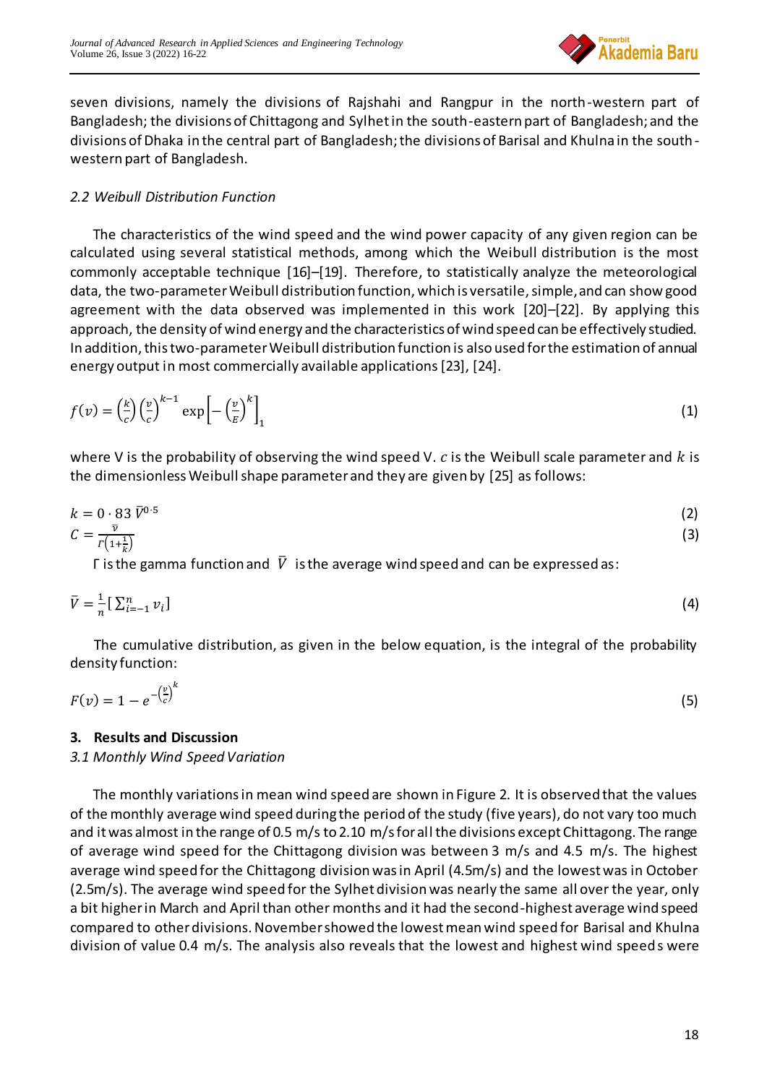

seven divisions, namely the divisions of Rajshahi and Rangpur in the north-western part of Bangladesh; the divisions of Chittagong and Sylhet in the south-eastern part of Bangladesh; and the divisions of Dhaka in the central part of Bangladesh; the divisions of Barisal and Khulna in the southwestern part of Bangladesh.

# *2.2 Weibull Distribution Function*

The characteristics of the wind speed and the wind power capacity of any given region can be calculated using several statistical methods, among which the Weibull distribution is the most commonly acceptable technique [16]–[19]. Therefore, to statistically analyze the meteorological data, the two-parameter Weibull distribution function, which is versatile, simple, and can show good agreement with the data observed was implemented in this work [20]–[22]. By applying this approach, the density of wind energy and the characteristics of wind speed can be effectively studied. In addition, this two-parameter Weibull distribution function is also used for the estimation of annual energy output in most commercially available applications[23], [24].

$$
f(v) = \left(\frac{k}{c}\right) \left(\frac{v}{c}\right)^{k-1} \exp\left[-\left(\frac{v}{E}\right)^k\right]_1
$$
 (1)

where V is the probability of observing the wind speed V.  $c$  is the Weibull scale parameter and  $k$  is the dimensionless Weibull shape parameter and they are given by [25] as follows:

$$
k = 0.83 \,\overline{V}^{0.5} \tag{2}
$$

$$
C = \frac{\overline{v}}{r\left(1 + \frac{1}{k}\right)}\tag{3}
$$

Γ is the gamma function and  $\bar{V}$  is the average wind speed and can be expressed as:

$$
\bar{V} = \frac{1}{n} \left[ \sum_{i=-1}^{n} v_i \right] \tag{4}
$$

The cumulative distribution, as given in the below equation, is the integral of the probability density function:

$$
F(v) = 1 - e^{-\left(\frac{v}{c}\right)^k} \tag{5}
$$

### **3. Results and Discussion**

### *3.1 Monthly Wind Speed Variation*

The monthly variations in mean wind speed are shown in Figure 2. It is observed that the values of the monthly average wind speed during the period of the study (five years), do not vary too much and it was almost in the range of 0.5 m/s to 2.10 m/s for all the divisions except Chittagong. The range of average wind speed for the Chittagong division was between 3 m/s and 4.5 m/s. The highest average wind speed for the Chittagong division was in April (4.5m/s) and the lowest was in October (2.5m/s). The average wind speed for the Sylhet division was nearly the same all over the year, only a bit higher in March and April than other months and it had the second-highest average wind speed compared to other divisions. November showed the lowest mean wind speed for Barisal and Khulna division of value 0.4 m/s. The analysis also reveals that the lowest and highest wind speeds were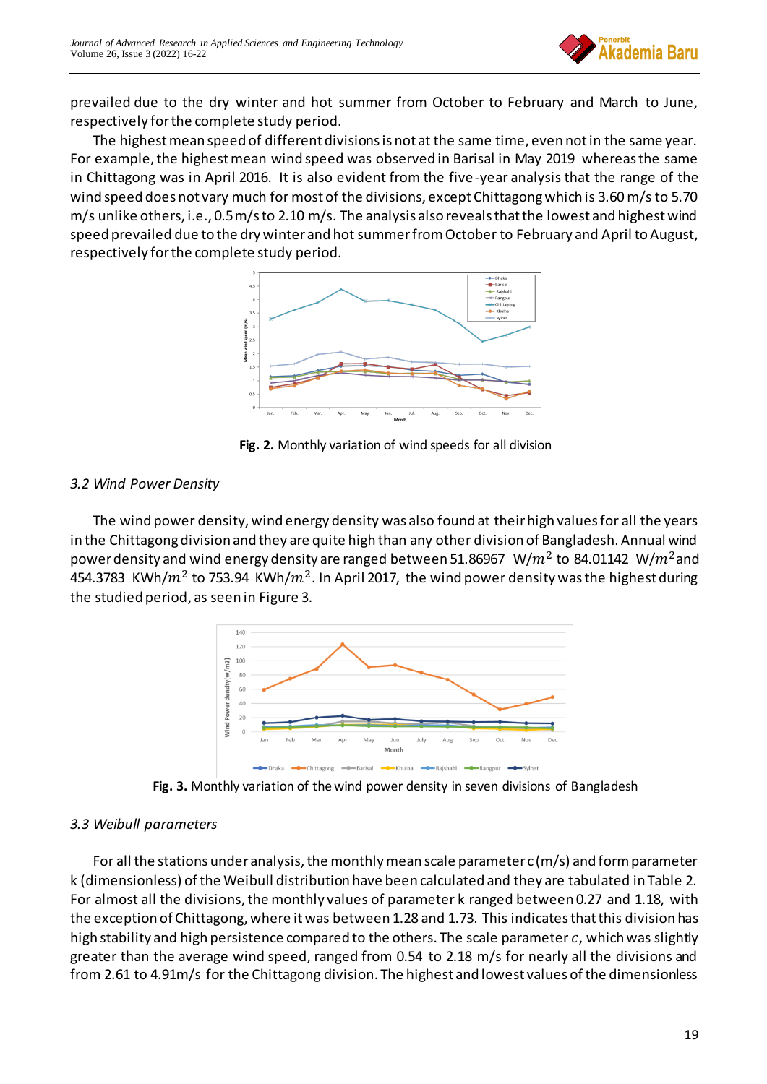

prevailed due to the dry winter and hot summer from October to February and March to June, respectively for the complete study period.

The highest mean speed of different divisions is not at the same time, even not in the same year. For example, the highest mean wind speed was observed in Barisal in May 2019 whereas the same in Chittagong was in April 2016. It is also evident from the five-year analysis that the range of the wind speed does not vary much for most of the divisions, except Chittagong which is 3.60 m/s to 5.70 m/s unlike others, i.e., 0.5 m/s to 2.10 m/s. The analysis also reveals that the lowest and highest wind speed prevailed due to the dry winter and hot summer from October to February and April to August, respectively for the complete study period.



**Fig. 2.** Monthly variation of wind speeds for all division

# *3.2 Wind Power Density*

The wind power density, wind energy density was also found at their high values for all the years in the Chittagong division and they are quite high than any other division of Bangladesh. Annual wind power density and wind energy density are ranged between 51.86967  $\,$  W/ $m^{2}$  to 84.01142  $\,$  W/ $m^{2}$ and 454.3783 KWh/ $m^2$  to 753.94 KWh/ $m^2$ . In April 2017, the wind power density was the highest during the studied period, as seen in Figure 3.



**Fig. 3.** Monthly variation of the wind power density in seven divisions of Bangladesh

### *3.3 Weibull parameters*

For all the stations under analysis, the monthly mean scale parameter c (m/s) and form parameter k (dimensionless) of the Weibull distribution have been calculated and they are tabulated in Table 2. For almost all the divisions, the monthly values of parameter k ranged between 0.27 and 1.18, with the exception of Chittagong, where it was between 1.28 and 1.73. This indicates that this division has high stability and high persistence compared to the others. The scale parameter  $c$ , which was slightly greater than the average wind speed, ranged from 0.54 to 2.18 m/s for nearly all the divisions and from 2.61 to 4.91m/s for the Chittagong division. The highest and lowest values of the dimensionless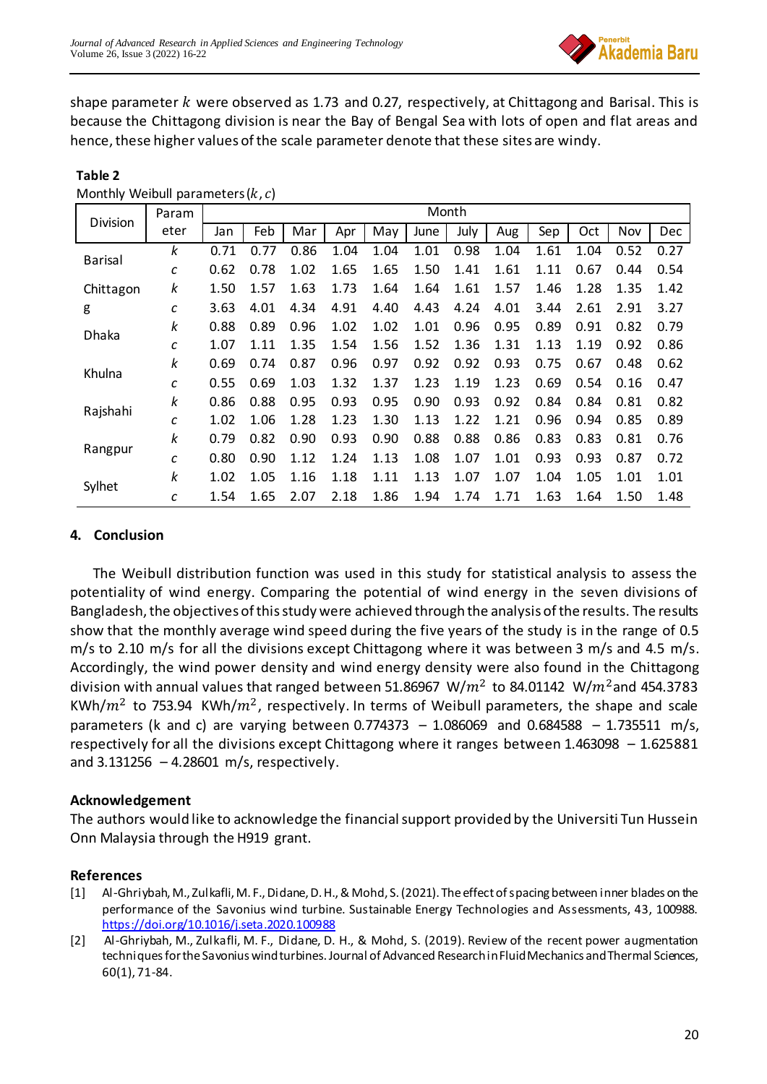

shape parameter  $k$  were observed as 1.73 and 0.27, respectively, at Chittagong and Barisal. This is because the Chittagong division is near the Bay of Bengal Sea with lots of open and flat areas and hence, these higher values of the scale parameter denote that these sites are windy.

|           | Param | Month |      |      |      |      |      |      |      |      |           |      |      |
|-----------|-------|-------|------|------|------|------|------|------|------|------|-----------|------|------|
| Division  | eter  | Jan   | Feb  | Mar  | Apr  | May  | June | July | Aug  | Sep  | Oct       | Nov  | Dec  |
| Barisal   | k     | 0.71  | 0.77 | 0.86 | 1.04 | 1.04 | 1.01 | 0.98 | 1.04 | 1.61 | 1.04      | 0.52 | 0.27 |
|           | с     | 0.62  | 0.78 | 1.02 | 1.65 | 1.65 | 1.50 | 1.41 | 1.61 | 1.11 | 0.67      | 0.44 | 0.54 |
| Chittagon | k     | 1.50  | 1.57 | 1.63 | 1.73 | 1.64 | 1.64 | 1.61 | 1.57 | 1.46 | 1.28      | 1.35 | 1.42 |
| g         | С     | 3.63  | 4.01 | 4.34 | 4.91 | 4.40 | 4.43 | 4.24 | 4.01 | 3.44 | 2.61      | 2.91 | 3.27 |
| Dhaka     | k     | 0.88  | 0.89 | 0.96 | 1.02 | 1.02 | 1.01 | 0.96 | 0.95 | 0.89 | 0.91      | 0.82 | 0.79 |
|           | с     | 1.07  | 1.11 | 1.35 | 1.54 | 1.56 | 1.52 | 1.36 | 1.31 | 1.13 | 1.19      | 0.92 | 0.86 |
| Khulna    | k     | 0.69  | 0.74 | 0.87 | 0.96 | 0.97 | 0.92 | 0.92 | 0.93 | 0.75 | 0.<br>.67 | 0.48 | 0.62 |
|           | с     | 0.55  | 0.69 | 1.03 | 1.32 | 1.37 | 1.23 | 1.19 | 1.23 | 0.69 | 0.54      | 0.16 | 0.47 |
| Rajshahi  | k     | 0.86  | 0.88 | 0.95 | 0.93 | 0.95 | 0.90 | 0.93 | 0.92 | 0.84 | 0.84      | 0.81 | 0.82 |
|           | с     | 1.02  | 1.06 | 1.28 | 1.23 | 1.30 | 1.13 | 1.22 | 1.21 | 0.96 | 0.94      | 0.85 | 0.89 |
| Rangpur   | k     | 0.79  | 0.82 | 0.90 | 0.93 | 0.90 | 0.88 | 0.88 | 0.86 | 0.83 | 0.83      | 0.81 | 0.76 |
|           | с     | 0.80  | 0.90 | 1.12 | 1.24 | 1.13 | 1.08 | 1.07 | 1.01 | 0.93 | 0.93      | 0.87 | 0.72 |
| Sylhet    | k     | 1.02  | 1.05 | 1.16 | 1.18 | 1.11 | 1.13 | 1.07 | 1.07 | 1.04 | 1.05      | 1.01 | 1.01 |
|           | с     | 1.54  | 1.65 | 2.07 | 2.18 | 1.86 | 1.94 | 1.74 | 1.71 | 1.63 | 1.64      | 1.50 | 1.48 |

#### **Table 2** Monthly Weibull parameters  $(k, c)$

## **4. Conclusion**

The Weibull distribution function was used in this study for statistical analysis to assess the potentiality of wind energy. Comparing the potential of wind energy in the seven divisions of Bangladesh, the objectives of this study were achieved through the analysis of the results. The results show that the monthly average wind speed during the five years of the study is in the range of 0.5 m/s to 2.10 m/s for all the divisions except Chittagong where it was between 3 m/s and 4.5 m/s. Accordingly, the wind power density and wind energy density were also found in the Chittagong division with annual values that ranged between 51.86967  $W/m^2$  to 84.01142  $W/m^2$ and 454.3783 KWh/ $m^2$  to 753.94 KWh/ $m^2$ , respectively. In terms of Weibull parameters, the shape and scale parameters (k and c) are varying between 0.774373 - 1.086069 and 0.684588 - 1.735511 m/s, respectively for all the divisions except Chittagong where it ranges between 1.463098 – 1.625881 and  $3.131256 - 4.28601$  m/s, respectively.

### **Acknowledgement**

The authors would like to acknowledge the financial support provided by the Universiti Tun Hussein Onn Malaysia through the H919 grant.

### **References**

- [1] Al-Ghriybah, M., Zulkafli, M. F., Didane, D. H., & Mohd, S. (2021). The effect of spacing between inner blades on the performance of the Savonius wind turbine. Sustainable Energy Technologies and Assessments, 43, 100988. <https://doi.org/10.1016/j.seta.2020.100988>
- [2] Al-Ghriybah, M., Zulkafli, M. F., Didane, D. H., & Mohd, S. (2019). Review of the recent power augmentation techniques for the Savonius wind turbines. Journal of Advanced Research in Fluid Mechanics and Thermal Sciences, 60(1), 71-84.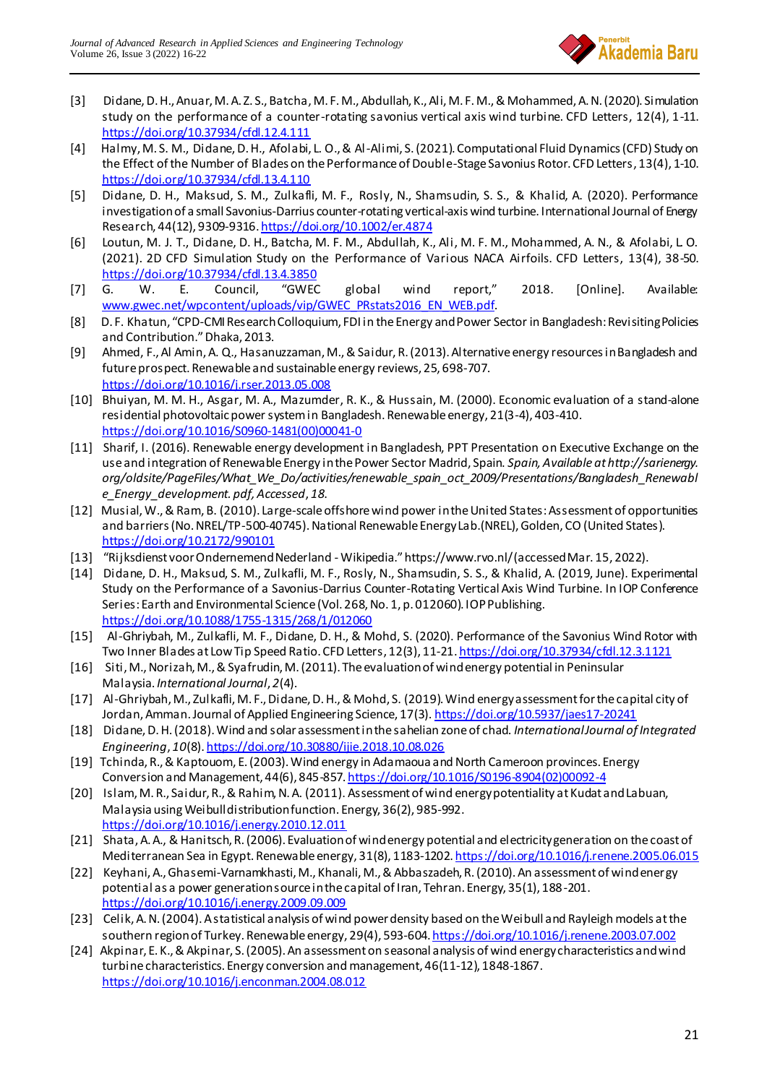

- [3] Didane, D. H., Anuar, M. A. Z. S., Batcha, M. F. M., Abdullah, K., Ali, M. F. M., & Mohammed, A. N. (2020). Simulation study on the performance of a counter-rotating savonius vertical axis wind turbine. CFD Letters, 12(4), 1-11. <https://doi.org/10.37934/cfdl.12.4.111>
- [4] Halmy, M. S. M., Didane, D. H., Afolabi, L. O., & Al-Alimi, S. (2021). Computational Fluid Dynamics (CFD) Study on the Effect of the Number of Blades on the Performance of Double-Stage Savonius Rotor. CFD Letters, 13(4), 1-10. <https://doi.org/10.37934/cfdl.13.4.110>
- [5] Didane, D. H., Maksud, S. M., Zulkafli, M. F., Rosly, N., Shamsudin, S. S., & Khalid, A. (2020). Performance investigation of a small Savonius-Darrius counter-rotating vertical-axis wind turbine. International Journal of Energy Research, 44(12), 9309-9316. <https://doi.org/10.1002/er.4874>
- [6] Loutun, M. J. T., Didane, D. H., Batcha, M. F. M., Abdullah, K., Ali, M. F. M., Mohammed, A. N., & Afolabi, L. O. (2021). 2D CFD Simulation Study on the Performance of Various NACA Airfoils. CFD Letters, 13(4), 38-50. <https://doi.org/10.37934/cfdl.13.4.3850>
- [7] G. W. E. Council, "GWEC global wind report," 2018. [Online]. Available: [www.gwec.net/wpcontent/uploads/vip/GWEC\\_PRstats2016\\_EN\\_WEB.pdf](http://www.gwec.net/wpcontent/uploads/vip/GWEC_PRstats2016_EN_WEB.pdf).
- [8] D. F. Khatun, "CPD‐CMI Research Colloquium, FDI in the Energy and Power Sector in Bangladesh: Revisiting Policies and Contribution." Dhaka, 2013.
- [9] Ahmed, F., Al Amin, A. Q., Hasanuzzaman, M., & Saidur, R. (2013). Alternative energy resources in Bangladesh and future prospect. Renewable and sustainable energy reviews, 25, 698-707. <https://doi.org/10.1016/j.rser.2013.05.008>
- [10] Bhuiyan, M. M. H., Asgar, M. A., Mazumder, R. K., & Hussain, M. (2000). Economic evaluation of a stand-alone residential photovoltaic power system in Bangladesh. Renewable energy, 21(3-4), 403-410. [https://doi.org/10.1016/S0960-1481\(00\)00041-0](https://doi.org/10.1016/S0960-1481(00)00041-0)
- [11] Sharif, I. (2016). Renewable energy development in Bangladesh, PPT Presentation on Executive Exchange on the use and integration of Renewable Energy in the Power Sector Madrid, Spain. *Spain, Available at http://sarienergy. org/oldsite/PageFiles/What\_We\_Do/activities/renewable\_spain\_oct\_2009/Presentations/Bangladesh\_Renewabl e\_Energy\_development. pdf, Accessed*, *18*.
- [12] Musial, W., & Ram, B. (2010). Large-scale offshore wind power in the United States: Assessment of opportunities and barriers (No. NREL/TP-500-40745). National Renewable Energy Lab.(NREL), Golden, CO (United States). <https://doi.org/10.2172/990101>
- [13] "Rijksdienst voor Ondernemend Nederland Wikipedia." https://www.rvo.nl/ (accessed Mar. 15, 2022).
- [14] Didane, D. H., Maksud, S. M., Zulkafli, M. F., Rosly, N., Shamsudin, S. S., & Khalid, A. (2019, June). Experimental Study on the Performance of a Savonius-Darrius Counter-Rotating Vertical Axis Wind Turbine. In IOP Conference Series: Earth and Environmental Science (Vol. 268, No. 1, p. 012060). IOP Publishing. <https://doi.org/10.1088/1755-1315/268/1/012060>
- [15] Al-Ghriybah, M., Zulkafli, M. F., Didane, D. H., & Mohd, S. (2020). Performance of the Savonius Wind Rotor with Two Inner Blades at Low Tip Speed Ratio. CFD Letters, 12(3), 11-21. <https://doi.org/10.37934/cfdl.12.3.1121>
- [16] Siti, M., Norizah, M., & Syafrudin, M. (2011). The evaluation of wind energy potential in Peninsular Malaysia. *International Journal*, *2*(4).
- [17] Al-Ghriybah, M., Zulkafli, M. F., Didane, D. H., & Mohd, S. (2019). Wind energy assessment for the capital city of Jordan, Amman. Journal of Applied Engineering Science, 17(3). <https://doi.org/10.5937/jaes17-20241>
- [18] Didane, D. H. (2018). Wind and solar assessment in the sahelian zone of chad. *International Journal of Integrated Engineering*, *10*(8). <https://doi.org/10.30880/ijie.2018.10.08.026>
- [19] Tchinda, R., & Kaptouom, E. (2003). Wind energy in Adamaoua and North Cameroon provinces. Energy Conversion and Management, 44(6), 845-857. [https://doi.org/10.1016/S0196-8904\(02\)00092-4](https://doi.org/10.1016/S0196-8904(02)00092-4)
- [20] Islam, M. R., Saidur, R., & Rahim, N. A. (2011). Assessment of wind energy potentiality at Kudat and Labuan, Malaysia using Weibull distribution function. Energy, 36(2), 985-992. <https://doi.org/10.1016/j.energy.2010.12.011>
- [21] Shata, A. A., & Hanitsch, R. (2006). Evaluation of wind energy potential and electricity generation on the coast of Mediterranean Sea in Egypt. Renewable energy, 31(8), 1183-1202. <https://doi.org/10.1016/j.renene.2005.06.015>
- [22] Keyhani, A., Ghasemi-Varnamkhasti, M., Khanali, M., & Abbaszadeh, R. (2010). An assessment of wind energy potential as a power generation source in the capital of Iran, Tehran. Energy, 35(1), 188-201. <https://doi.org/10.1016/j.energy.2009.09.009>
- [23] Celik, A. N. (2004). A statistical analysis of wind power density based on the Weibull and Rayleigh models at the southern region of Turkey. Renewable energy, 29(4), 593-604. <https://doi.org/10.1016/j.renene.2003.07.002>
- [24] Akpinar, E. K., & Akpinar, S. (2005). An assessment on seasonal analysis of wind energy characteristics and wind turbine characteristics. Energy conversion and management, 46(11-12), 1848-1867. <https://doi.org/10.1016/j.enconman.2004.08.012>